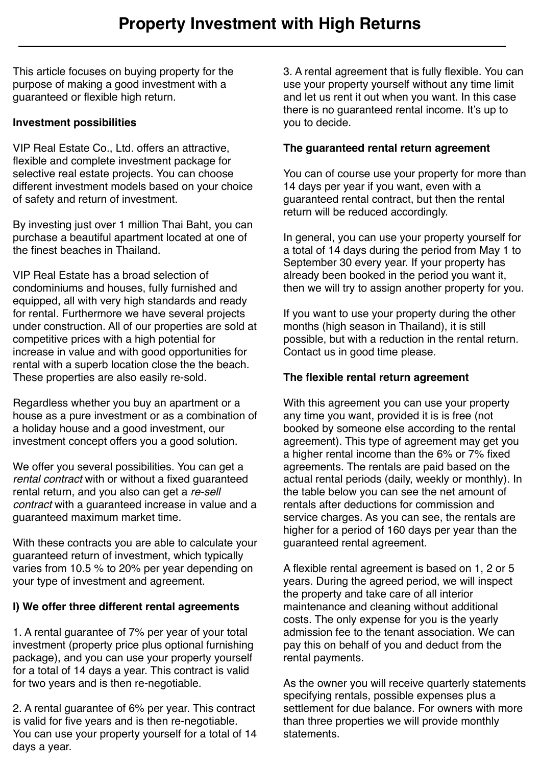This article focuses on buying property for the purpose of making a good investment with a guaranteed or flexible high return.

# **Investment possibilities**

VIP Real Estate Co., Ltd. offers an attractive, flexible and complete investment package for selective real estate projects. You can choose different investment models based on your choice of safety and return of investment.

By investing just over 1 million Thai Baht, you can purchase a beautiful apartment located at one of the finest beaches in Thailand.

VIP Real Estate has a broad selection of condominiums and houses, fully furnished and equipped, all with very high standards and ready for rental. Furthermore we have several projects under construction. All of our properties are sold at competitive prices with a high potential for increase in value and with good opportunities for rental with a superb location close the the beach. These properties are also easily re-sold.

Regardless whether you buy an apartment or a house as a pure investment or as a combination of a holiday house and a good investment, our investment concept offers you a good solution.

We offer you several possibilities. You can get a *rental contract* with or without a fixed guaranteed rental return, and you also can get a *re-sell contract* with a guaranteed increase in value and a guaranteed maximum market time.

With these contracts you are able to calculate your guaranteed return of investment, which typically varies from 10.5 % to 20% per year depending on your type of investment and agreement.

## **I) We offer three different rental agreements**

1. A rental guarantee of 7% per year of your total investment (property price plus optional furnishing package), and you can use your property yourself for a total of 14 days a year. This contract is valid for two years and is then re-negotiable.

2. A rental guarantee of 6% per year. This contract is valid for five years and is then re-negotiable. You can use your property yourself for a total of 14 days a year.

3. A rental agreement that is fully flexible. You can use your property yourself without any time limit and let us rent it out when you want. In this case there is no guaranteed rental income. It's up to you to decide.

#### **The guaranteed rental return agreement**

You can of course use your property for more than 14 days per year if you want, even with a guaranteed rental contract, but then the rental return will be reduced accordingly.

In general, you can use your property yourself for a total of 14 days during the period from May 1 to September 30 every year. If your property has already been booked in the period you want it, then we will try to assign another property for you.

If you want to use your property during the other months (high season in Thailand), it is still possible, but with a reduction in the rental return. Contact us in good time please.

## **The flexible rental return agreement**

With this agreement you can use your property any time you want, provided it is is free (not booked by someone else according to the rental agreement). This type of agreement may get you a higher rental income than the 6% or 7% fixed agreements. The rentals are paid based on the actual rental periods (daily, weekly or monthly). In the table below you can see the net amount of rentals after deductions for commission and service charges. As you can see, the rentals are higher for a period of 160 days per year than the guaranteed rental agreement.

A flexible rental agreement is based on 1, 2 or 5 years. During the agreed period, we will inspect the property and take care of all interior maintenance and cleaning without additional costs. The only expense for you is the yearly admission fee to the tenant association. We can pay this on behalf of you and deduct from the rental payments.

As the owner you will receive quarterly statements specifying rentals, possible expenses plus a settlement for due balance. For owners with more than three properties we will provide monthly statements.